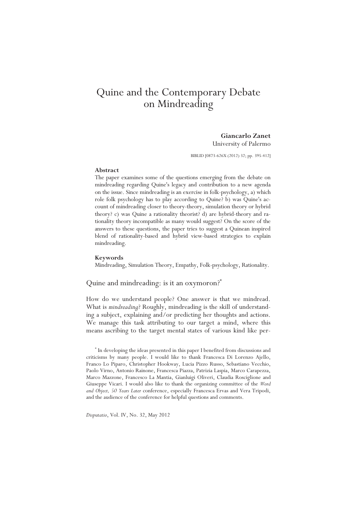# Quine and the Contemporary Debate on Mindreading

# **Giancarlo Zanet**  University of Palermo

BIBLID [0873-626X (2012) 32; pp. 395-412]

## **Abstract**

The paper examines some of the questions emerging from the debate on mindreading regarding Quine's legacy and contribution to a new agenda on the issue. Since mindreading is an exercise in folk-psychology, a) which role folk psychology has to play according to Quine? b) was Quine's account of mindreading closer to theory-theory, simulation theory or hybrid theory? c) was Quine a rationality theorist? d) are hybrid-theory and rationality theory incompatible as many would suggest? On the score of the answers to these questions, the paper tries to suggest a Quinean inspired blend of rationality-based and hybrid view-based strategies to explain mindreading.

#### **Keywords**

Mindreading, Simulation Theory, Empathy, Folk-psychology, Rationality.

# Quine and mindreading: is it an oxymoron?\*

How do we understand people? One answer is that we mindread. What is *mindreading*? Roughly, mindreading is the skill of understanding a subject, explaining and/or predicting her thoughts and actions. We manage this task attributing to our target a mind, where this means ascribing to the target mental states of various kind like per-

\* In developing the ideas presented in this paper I benefited from discussions and criticisms by many people. I would like to thank Francesca Di Lorenzo Ajello, Franco Lo Piparo, Christopher Hookway, Lucia Pizzo Russo, Sebastiano Vecchio, Paolo Virno, Antonio Rainone, Francesca Piazza, Patrizia Laspia, Marco Carapezza, Marco Mazzone, Francesco La Mantia, Gianluigi Oliveri, Claudia Rosciglione and Giuseppe Vicari. I would also like to thank the organizing committee of the *Word and Object, 50 Years Later* conference, especially Francesca Ervas and Vera Tripodi, and the audience of the conference for helpful questions and comments.

*Disputatio*, Vol. IV, No. 32, May 2012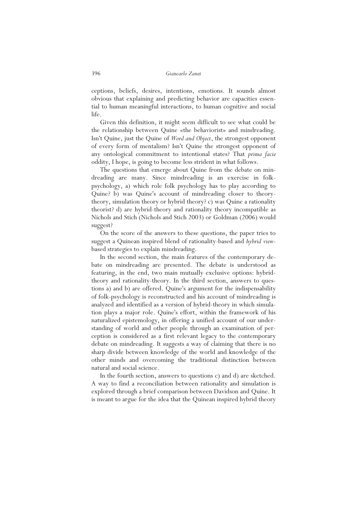ceptions, beliefs, desires, intentions, emotions. It sounds almost obvious that explaining and predicting behavior are capacities essential to human meaningful interactions, to human cognitive and social life.

Given this definition, it might seem difficult to see what could be the relationship between Quine «the behaviorist» and mindreading. Isn't Quine, just the Quine of *Word and Object*, the strongest opponent of every form of mentalism? Isn't Quine the strongest opponent of any ontological commitment to intentional states? That *prima facie*  oddity, I hope, is going to become less strident in what follows.

The questions that emerge about Quine from the debate on mindreading are many. Since mindreading is an exercise in folkpsychology, a) which role folk psychology has to play according to Quine? b) was Quine's account of mindreading closer to theorytheory, simulation theory or hybrid theory? c) was Quine a rationality theorist? d) are hybrid-theory and rationality theory incompatible as Nichols and Stich (Nichols and Stich 2003) or Goldman (2006) would suggest?

On the score of the answers to these questions, the paper tries to suggest a Quinean inspired blend of rationality-based and *hybrid view*based strategies to explain mindreading.

In the second section, the main features of the contemporary debate on mindreading are presented. The debate is understood as featuring, in the end, two main mutually exclusive options: hybridtheory and rationality-theory. In the third section, answers to questions a) and b) are offered. Quine's argument for the indispensability of folk-psychology is reconstructed and his account of mindreading is analyzed and identified as a version of hybrid-theory in which simulation plays a major role. Quine's effort, within the framework of his naturalized epistemology, in offering a unified account of our understanding of world and other people through an examination of perception is considered as a first relevant legacy to the contemporary debate on mindreading. It suggests a way of claiming that there is no sharp divide between knowledge of the world and knowledge of the other minds and overcoming the traditional distinction between natural and social science.

In the fourth section, answers to questions c) and d) are sketched. A way to find a reconciliation between rationality and simulation is explored through a brief comparison between Davidson and Quine. It is meant to argue for the idea that the Quinean inspired hybrid theory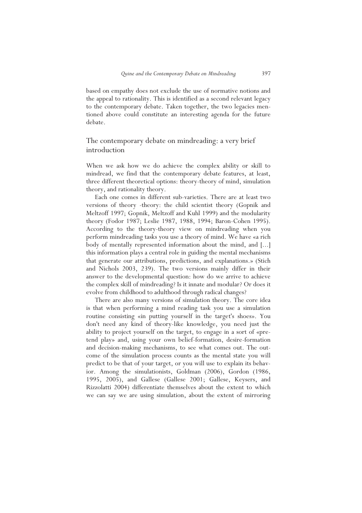based on empathy does not exclude the use of normative notions and the appeal to rationality. This is identified as a second relevant legacy to the contemporary debate. Taken together, the two legacies mentioned above could constitute an interesting agenda for the future debate.

# The contemporary debate on mindreading: a very brief introduction

When we ask how we do achieve the complex ability or skill to mindread, we find that the contemporary debate features, at least, three different theoretical options: theory-theory of mind, simulation theory, and rationality theory.

Each one comes in different sub-varieties. There are at least two versions of theory -theory: the child scientist theory (Gopnik and Meltzoff 1997; Gopnik, Meltzoff and Kuhl 1999) and the modularity theory (Fodor 1987; Leslie 1987, 1988, 1994; Baron-Cohen 1995). According to the theory-theory view on mindreading when you perform mindreading tasks you use a theory of mind. We have «a rich body of mentally represented information about the mind, and [...] this information plays a central role in guiding the mental mechanisms that generate our attributions, predictions, and explanations.» (Stich and Nichols 2003, 239). The two versions mainly differ in their answer to the developmental question: how do we arrive to achieve the complex skill of mindreading? Is it innate and modular? Or does it evolve from childhood to adulthood through radical changes?

There are also many versions of simulation theory. The core idea is that when performing a mind reading task you use a simulation routine consisting «in putting yourself in the target's shoes». You don't need any kind of theory-like knowledge, you need just the ability to project yourself on the target, to engage in a sort of «pretend play» and, using your own belief-formation, desire-formation and decision-making mechanisms, to see what comes out. The outcome of the simulation process counts as the mental state you will predict to be that of your target, or you will use to explain its behavior. Among the simulationists, Goldman (2006), Gordon (1986, 1995, 2005), and Gallese (Gallese 2001; Gallese, Keysers, and Rizzolatti 2004) differentiate themselves about the extent to which we can say we are using simulation, about the extent of mirroring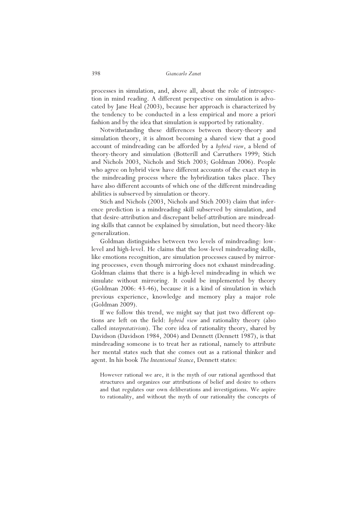processes in simulation, and, above all, about the role of introspection in mind reading. A different perspective on simulation is advocated by Jane Heal (2003), because her approach is characterized by the tendency to be conducted in a less empirical and more a priori fashion and by the idea that simulation is supported by rationality.

Notwithstanding these differences between theory-theory and simulation theory, it is almost becoming a shared view that a good account of mindreading can be afforded by a *hybrid view*, a blend of theory-theory and simulation (Botterill and Carruthers 1999; Stich and Nichols 2003, Nichols and Stich 2003; Goldman 2006). People who agree on hybrid view have different accounts of the exact step in the mindreading process where the hybridization takes place. They have also different accounts of which one of the different mindreading abilities is subserved by simulation or theory.

Stich and Nichols (2003, Nichols and Stich 2003) claim that inference prediction is a mindreading skill subserved by simulation, and that desire-attribution and discrepant belief-attribution are mindreading skills that cannot be explained by simulation, but need theory-like generalization.

Goldman distinguishes between two levels of mindreading: lowlevel and high-level. He claims that the low-level mindreading skills, like emotions recognition, are simulation processes caused by mirroring processes, even though mirroring does not exhaust mindreading. Goldman claims that there is a high-level mindreading in which we simulate without mirroring. It could be implemented by theory (Goldman 2006: 43-46), because it is a kind of simulation in which previous experience, knowledge and memory play a major role (Goldman 2009).

If we follow this trend, we might say that just two different options are left on the field: *hybrid view* and rationality theory (also called *interpretativism*). The core idea of rationality theory, shared by Davidson (Davidson 1984, 2004) and Dennett (Dennett 1987), is that mindreading someone is to treat her as rational, namely to attribute her mental states such that she comes out as a rational thinker and agent. In his book *The Intentional Stance*, Dennett states:

However rational we are, it is the myth of our rational agenthood that structures and organizes our attributions of belief and desire to others and that regulates our own deliberations and investigations. We aspire to rationality, and without the myth of our rationality the concepts of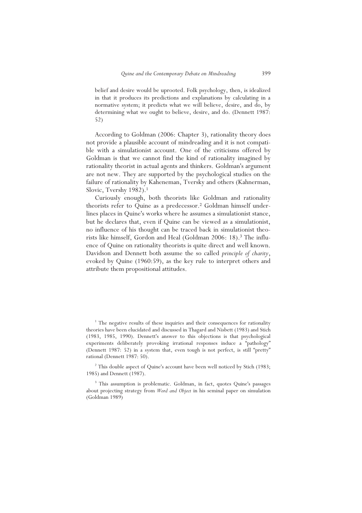belief and desire would be uprooted. Folk psychology, then, is idealized in that it produces its predictions and explanations by calculating in a normative system; it predicts what we will believe, desire, and do, by determining what we ought to believe, desire, and do. (Dennett 1987: 52)

According to Goldman (2006: Chapter 3), rationality theory does not provide a plausible account of mindreading and it is not compatible with a simulationist account. One of the criticisms offered by Goldman is that we cannot find the kind of rationality imagined by rationality theorist in actual agents and thinkers. Goldman's argument are not new. They are supported by the psychological studies on the failure of rationality by Kaheneman, Tversky and others (Kahnerman, Slovic, Tvershy 1982).<sup>1</sup>

Curiously enough, both theorists like Goldman and rationality theorists refer to Quine as a predecessor.<sup>2</sup> Goldman himself underlines places in Quine's works where he assumes a simulationist stance, but he declares that, even if Quine can be viewed as a simulationist, no influence of his thought can be traced back in simulationist theorists like himself, Gordon and Heal (Goldman 2006: 18).<sup>3</sup> The influence of Quine on rationality theorists is quite direct and well known. Davidson and Dennett both assume the so called *principle of charity*, evoked by Quine (1960:59), as the key rule to interpret others and attribute them propositional attitudes.

<sup>&</sup>lt;sup>1</sup> The negative results of these inquiries and their consequences for rationality theories have been elucidated and discussed in Thagard and Nisbett (1983) and Stich (1983, 1985, 1990). Dennett's answer to this objections is that psychological experiments deliberately provoking irrational responses induce a "pathology" (Dennett 1987: 52) in a system that, even tough is not perfect, is still "pretty" rational (Dennett 1987: 50).

<sup>&</sup>lt;sup>2</sup> This double aspect of Quine's account have been well noticed by Stich (1983; 1985) and Dennett (1987).

<sup>&</sup>lt;sup>3</sup> This assumption is problematic. Goldman, in fact, quotes Quine's passages about projecting strategy from *Word and Object* in his seminal paper on simulation (Goldman 1989)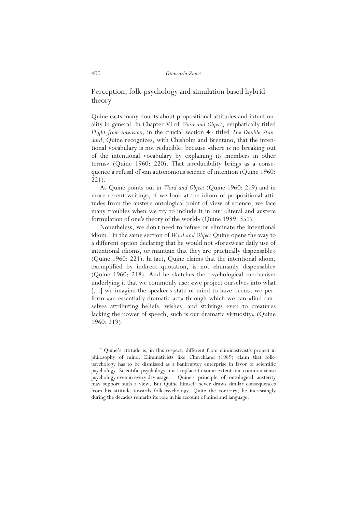Perception, folk-psychology and simulation based hybridtheory

Quine casts many doubts about propositional attitudes and intentionality in general. In Chapter VI of *Word and Object*, emphatically titled *Flight from intension*, in the crucial section 45 titled *The Double Standard*, Quine recognizes, with Chisholm and Brentano, that the intentional vocabulary is not reducible, because «there is no breaking out of the intentional vocabulary by explaining its members in other terms» (Quine 1960: 220). That irreducibility brings as a consequence a refusal of «an autonomous science of intention (Quine 1960: 221).

As Quine points out in *Word and Object* (Quine 1960: 219) and in more recent writings, if we look at the idiom of propositional attitudes from the austere ontological point of view of science, we face many troubles when we try to include it in our «literal and austere formulation of one's theory of the world» (Quine 1989: 351).

Nonetheless, we don't need to refuse or eliminate the intentional idiom.<sup>4</sup> In the same section of *Word and Object* Quine opens the way to a different option declaring that he would not «foreswear daily use of intentional idioms, or maintain that they are practically dispensable» (Quine 1960: 221). In fact, Quine claims that the intentional idiom, exemplified by indirect quotation, is not «humanly dispensable» (Quine 1960: 218). And he sketches the psychological mechanism underlying it that we commonly use: «we project ourselves into what [...] we imagine the speaker's state of mind to have been»; we perform «an essentially dramatic act» through which we can «find ourselves attributing beliefs, wishes, and strivings even to creatures lacking the power of speech, such is our dramatic virtuosity» (Quine 1960: 219).

4 Quine's attitude is, in this respect, different from eliminastivist's project in philosophy of mind. Eliminativists like Churchland (1989) claim that folkpsychology has to be dismissed as a bankruptcy enterprise in favor of scientific psychology. Scientific psychology must replace to some extent our common sense psychology even in every day usage. Quine's principle of ontological austerity may support such a view. But Quine himself never draws similar consequences from his attitude towards folk-psychology. Quite the contrary, he increasingly during the decades remarks its role in his account of mind and language.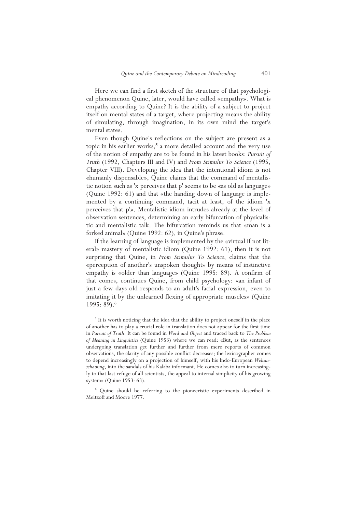Here we can find a first sketch of the structure of that psychological phenomenon Quine, later, would have called «empathy». What is empathy according to Quine? It is the ability of a subject to project itself on mental states of a target, where projecting means the ability of simulating, through imagination, in its own mind the target's mental states.

Even though Quine's reflections on the subject are present as a topic in his earlier works,<sup>5</sup> a more detailed account and the very use of the notion of empathy are to be found in his latest books: *Pursuit of Truth* (1992, Chapters III and IV) and *From Stimulus To Science* (1995, Chapter VIII). Developing the idea that the intentional idiom is not «humanly dispensable», Quine claims that the command of mentalistic notion such as 'x perceives that p' seems to be «as old as language» (Quine 1992: 61) and that «the handing down of language is implemented by a continuing command, tacit at least, of the idiom 'x perceives that p'». Mentalistic idiom intrudes already at the level of observation sentences, determining an early bifurcation of physicalistic and mentalistic talk. The bifurcation reminds us that «man is a forked animal» (Quine 1992: 62), in Quine's phrase.

If the learning of language is implemented by the «virtual if not literal» mastery of mentalistic idiom (Quine 1992: 61), then it is not surprising that Quine, in *From Stimulus To Science*, claims that the «perception of another's unspoken thought» by means of instinctive empathy is «older than language» (Quine 1995: 89). A confirm of that comes, continues Quine, from child psychology: «an infant of just a few days old responds to an adult's facial expression, even to imitating it by the unlearned flexing of appropriate muscles» (Quine 1995: 89).<sup>6</sup>

<sup>5</sup> It is worth noticing that the idea that the ability to project oneself in the place of another has to play a crucial role in translation does not appear for the first time in *Pursuit of Truth*. It can be found in *Word and Object* and traced back to *The Problem of Meaning in Linguistics* (Quine 1953) where we can read: «But, as the sentences undergoing translation get further and further from mere reports of common observations, the clarity of any possible conflict decreases; the lexicographer comes to depend increasingly on a projection of himself, with his Indo-European *Weltanschauung*, into the sandals of his Kalaba informant. He comes also to turn increasingly to that last refuge of all scientists, the appeal to internal simplicity of his growing system» (Quine 1953: 63).

6 Quine should be referring to the pioneeristic experiments described in Meltzoff and Moore 1977.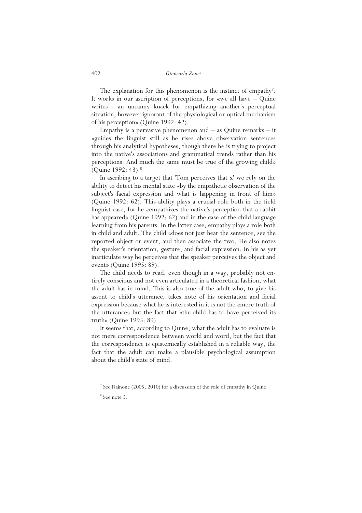The explanation for this phenomenon is the instinct of empathy<sup>7</sup>. It works in our ascription of perceptions, for «we all have – Quine writes - an uncanny knack for empathizing another's perceptual situation, however ignorant of the physiological or optical mechanism of his perception» (Quine 1992: 42).

Empathy is a pervasive phenomenon and  $-$  as Quine remarks  $-$  it «guides the linguist still as he rises above observation sentences through his analytical hypotheses, though there he is trying to project into the native's associations and grammatical trends rather than his perceptions. And much the same must be true of the growing child» (Quine 1992: 43).<sup>8</sup>

In ascribing to a target that 'Tom perceives that x' we rely on the ability to detect his mental state «by the empathetic observation of the subject's facial expression and what is happening in front of him» (Quine 1992: 62). This ability plays a crucial role both in the field linguist case, for he «empathizes the native's perception that a rabbit has appeared» (Quine 1992: 62) and in the case of the child language learning from his parents. In the latter case, empathy plays a role both in child and adult. The child «does not just hear the sentence, see the reported object or event, and then associate the two. He also notes the speaker's orientation, gesture, and facial expression. In his as yet inarticulate way he perceives that the speaker perceives the object and event» (Quine 1995: 89).

The child needs to read, even though in a way, probably not entirely conscious and not even articulated in a theoretical fashion, what the adult has in mind. This is also true of the adult who, to give his assent to child's utterance, takes note of his orientation and facial expression because what he is interested in it is not the «mere truth of the utterance» but the fact that «the child has to have perceived its truth» (Quine 1995: 89).

It seems that, according to Quine, what the adult has to evaluate is not mere correspondence between world and word, but the fact that the correspondence is epistemically established in a reliable way, the fact that the adult can make a plausible psychological assumption about the child's state of mind.

<sup>&</sup>lt;sup>7</sup> See Rainone (2005, 2010) for a discussion of the role of empathy in Quine.

<sup>8</sup> See note 5.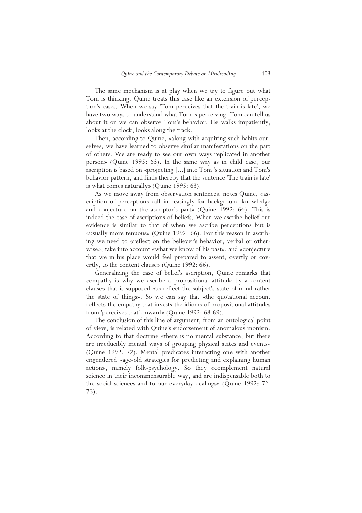The same mechanism is at play when we try to figure out what Tom is thinking. Quine treats this case like an extension of perception's cases. When we say 'Tom perceives that the train is late', we have two ways to understand what Tom is perceiving. Tom can tell us about it or we can observe Tom's behavior. He walks impatiently, looks at the clock, looks along the track.

Then, according to Quine, «along with acquiring such habits ourselves, we have learned to observe similar manifestations on the part of others. We are ready to see our own ways replicated in another person» (Quine 1995: 63). In the same way as in child case, our ascription is based on «projecting [...] into Tom 's situation and Tom's behavior pattern, and finds thereby that the sentence 'The train is late' is what comes naturally» (Quine 1995: 63).

As we move away from observation sentences, notes Quine, «ascription of perceptions call increasingly for background knowledge and conjecture on the ascriptor's part» (Quine 1992: 64). This is indeed the case of ascriptions of beliefs. When we ascribe belief our evidence is similar to that of when we ascribe perceptions but is «usually more tenuous» (Quine 1992: 66). For this reason in ascribing we need to «reflect on the believer's behavior, verbal or otherwise», take into account «what we know of his past», and «conjecture that we in his place would feel prepared to assent, overtly or covertly, to the content clause» (Quine 1992: 66).

Generalizing the case of belief's ascription, Quine remarks that «empathy is why we ascribe a propositional attitude by a content clause» that is supposed «to reflect the subject's state of mind rather the state of things». So we can say that «the quotational account reflects the empathy that invests the idioms of propositional attitudes from 'perceives that' onward» (Quine 1992: 68-69).

The conclusion of this line of argument, from an ontological point of view, is related with Quine's endorsement of anomalous monism. According to that doctrine «there is no mental substance, but there are irreducibly mental ways of grouping physical states and events» (Quine 1992: 72). Mental predicates interacting one with another engendered «age-old strategies for predicting and explaining human action», namely folk-psychology. So they «complement natural science in their incommensurable way, and are indispensable both to the social sciences and to our everyday dealings» (Quine 1992: 72- 73).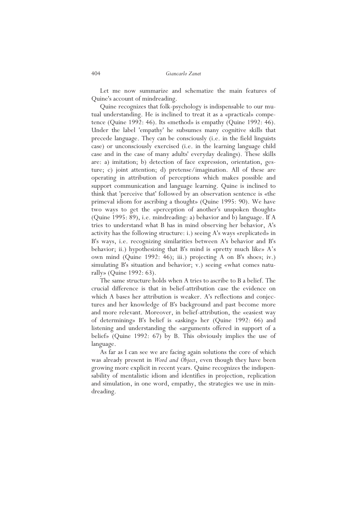Let me now summarize and schematize the main features of Quine's account of mindreading.

Quine recognizes that folk-psychology is indispensable to our mutual understanding. He is inclined to treat it as a «practical» competence (Quine 1992: 46). Its «method» is empathy (Quine 1992: 46). Under the label 'empathy' he subsumes many cognitive skills that precede language. They can be consciously (i.e. in the field linguists case) or unconsciously exercised (i.e. in the learning language child case and in the case of many adults' everyday dealings). These skills are: a) imitation; b) detection of face expression, orientation, gesture; c) joint attention; d) pretense/imagination. All of these are operating in attribution of perceptions which makes possible and support communication and language learning. Quine is inclined to think that 'perceive that' followed by an observation sentence is «the primeval idiom for ascribing a thought» (Quine 1995: 90). We have two ways to get the «perception of another's unspoken thought» (Quine 1995: 89), i.e. mindreading: a) behavior and b) language. If A tries to understand what B has in mind observing her behavior, A's activity has the following structure: i.) seeing A's ways «replicated» in B's ways, i.e. recognizing similarities between A's behavior and B's behavior; ii.) hypothesizing that B's mind is «pretty much like» A's own mind (Quine 1992: 46); iii.) projecting A on B's shoes; iv.) simulating B's situation and behavior; v.) seeing «what comes naturally» (Quine 1992: 63).

The same structure holds when A tries to ascribe to B a belief. The crucial difference is that in belief-attribution case the evidence on which A bases her attribution is weaker. A's reflections and conjectures and her knowledge of B's background and past become more and more relevant. Moreover, in belief-attribution, the «easiest way of determining» B's belief is «asking» her (Quine 1992: 66) and listening and understanding the «arguments offered in support of a belief» (Quine 1992: 67) by B. This obviously implies the use of language.

As far as I can see we are facing again solutions the core of which was already present in *Word and Object*, even though they have been growing more explicit in recent years. Quine recognizes the indispensability of mentalistic idiom and identifies in projection, replication and simulation, in one word, empathy, the strategies we use in mindreading.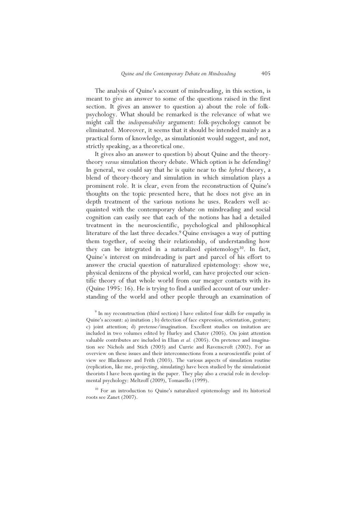The analysis of Quine's account of mindreading, in this section, is meant to give an answer to some of the questions raised in the first section. It gives an answer to question a) about the role of folkpsychology. What should be remarked is the relevance of what we might call the *indispensability* argument: folk-psychology cannot be eliminated. Moreover, it seems that it should be intended mainly as a practical form of knowledge, as simulationist would suggest, and not, strictly speaking, as a theoretical one.

It gives also an answer to question b) about Quine and the theorytheory *versus* simulation theory debate. Which option is he defending? In general, we could say that he is quite near to the *hybrid* theory, a blend of theory-theory and simulation in which simulation plays a prominent role. It is clear, even from the reconstruction of Quine's thoughts on the topic presented here, that he does not give an in depth treatment of the various notions he uses. Readers well acquainted with the contemporary debate on mindreading and social cognition can easily see that each of the notions has had a detailed treatment in the neuroscientific, psychological and philosophical literature of the last three decades.<sup>9</sup>Quine envisages a way of putting them together, of seeing their relationship, of understanding how they can be integrated in a naturalized epistemology<sup>10</sup>. In fact, Quine's interest on mindreading is part and parcel of his effort to answer the crucial question of naturalized epistemology: «how we, physical denizens of the physical world, can have projected our scientific theory of that whole world from our meager contacts with it» (Quine 1995: 16). He is trying to find a unified account of our understanding of the world and other people through an examination of

<sup>10</sup> For an introduction to Quine's naturalized epistemology and its historical roots see Zanet (2007).

<sup>&</sup>lt;sup>9</sup> In my reconstruction (third section) I have enlisted four skills for empathy in Quine's account: a) imitation ; b) detection of face expression, orientation, gesture; c) joint attention; d) pretense/imagination. Excellent studies on imitation are included in two volumes edited by Hurley and Chater (2005). On joint attention valuable contributes are included in Elian *et al.* (2005). On pretence and imagination see Nichols and Stich (2003) and Currie and Ravenscroft (2002). For an overview on these issues and their interconnections from a neuroscientific point of view see Blackmore and Frith (2003). The various aspects of simulation routine (replication, like me, projecting, simulating) have been studied by the simulationist theorists I have been quoting in the paper. They play also a crucial role in developmental psychology: Meltzoff (2009), Tomasello (1999).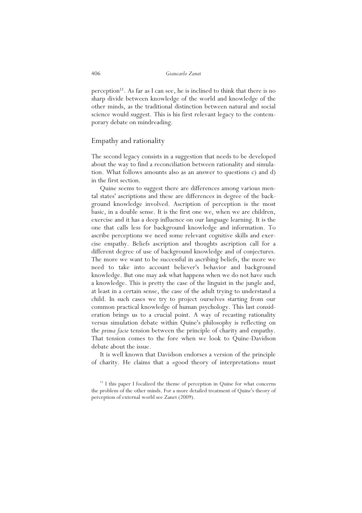perception<sup>11</sup>. As far as I can see, he is inclined to think that there is no sharp divide between knowledge of the world and knowledge of the other minds, as the traditional distinction between natural and social science would suggest. This is his first relevant legacy to the contemporary debate on mindreading.

# Empathy and rationality

The second legacy consists in a suggestion that needs to be developed about the way to find a reconciliation between rationality and simulation. What follows amounts also as an answer to questions c) and d) in the first section.

Quine seems to suggest there are differences among various mental states' ascriptions and these are differences in degree of the background knowledge involved. Ascription of perception is the most basic, in a double sense. It is the first one we, when we are children, exercise and it has a deep influence on our language learning. It is the one that calls less for background knowledge and information. To ascribe perceptions we need some relevant cognitive skills and exercise empathy. Beliefs ascription and thoughts ascription call for a different degree of use of background knowledge and of conjectures. The more we want to be successful in ascribing beliefs, the more we need to take into account believer's behavior and background knowledge. But one may ask what happens when we do not have such a knowledge. This is pretty the case of the linguist in the jungle and, at least in a certain sense, the case of the adult trying to understand a child. In such cases we try to project ourselves starting from our common practical knowledge of human psychology. This last consideration brings us to a crucial point. A way of recasting rationality versus simulation debate within Quine's philosophy is reflecting on the *prima facie* tension between the principle of charity and empathy. That tension comes to the fore when we look to Quine-Davidson debate about the issue.

It is well known that Davidson endorses a version of the principle of charity. He claims that a «good theory of interpretation» must

<sup>&</sup>lt;sup>11</sup> I this paper I focalized the theme of perception in Quine for what concerns the problem of the other minds. For a more detailed treatment of Quine's theory of perception of external world see Zanet (2009).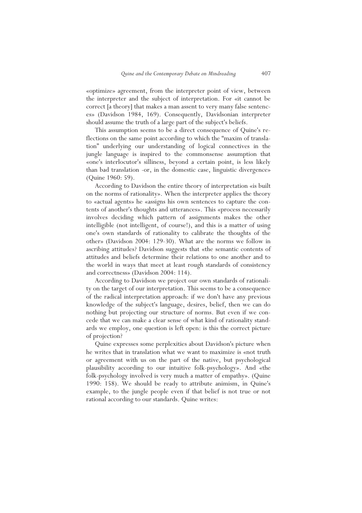«optimize» agreement, from the interpreter point of view, between the interpreter and the subject of interpretation. For «it cannot be correct [a theory] that makes a man assent to very many false sentences» (Davidson 1984, 169). Consequently, Davidsonian interpreter should assume the truth of a large part of the subject's beliefs.

This assumption seems to be a direct consequence of Quine's reflections on the same point according to which the "maxim of translation" underlying our understanding of logical connectives in the jungle language is inspired to the commonsense assumption that «one's interlocutor's silliness, beyond a certain point, is less likely than bad translation -or, in the domestic case, linguistic divergence» (Quine 1960: 59).

According to Davidson the entire theory of interpretation «is built on the norms of rationality». When the interpreter applies the theory to «actual agents» he «assigns his own sentences to capture the contents of another's thoughts and utterances». This «process necessarily involves deciding which pattern of assignments makes the other intelligible (not intelligent, of course!), and this is a matter of using one's own standards of rationality to calibrate the thoughts of the other» (Davidson 2004: 129-30). What are the norms we follow in ascribing attitudes? Davidson suggests that «the semantic contents of attitudes and beliefs determine their relations to one another and to the world in ways that meet at least rough standards of consistency and correctness» (Davidson 2004: 114).

According to Davidson we project our own standards of rationality on the target of our interpretation. This seems to be a consequence of the radical interpretation approach: if we don't have any previous knowledge of the subject's language, desires, belief, then we can do nothing but projecting our structure of norms. But even if we concede that we can make a clear sense of what kind of rationality standards we employ, one question is left open: is this the correct picture of projection?

Quine expresses some perplexities about Davidson's picture when he writes that in translation what we want to maximize is «not truth or agreement with us on the part of the native, but psychological plausibility according to our intuitive folk-psychology». And «the folk-psychology involved is very much a matter of empathy». (Quine 1990: 158). We should be ready to attribute animism, in Quine's example, to the jungle people even if that belief is not true or not rational according to our standards. Quine writes: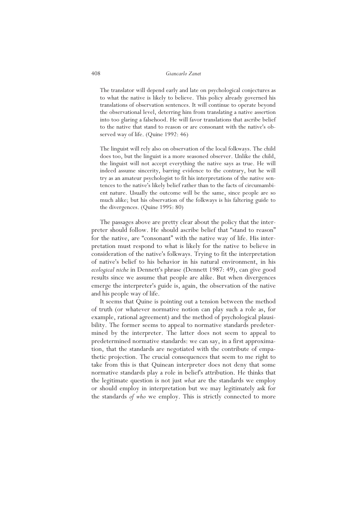The translator will depend early and late on psychological conjectures as to what the native is likely to believe. This policy already governed his translations of observation sentences. It will continue to operate beyond the observational level, deterring him from translating a native assertion into too glaring a falsehood. He will favor translations that ascribe belief to the native that stand to reason or are consonant with the native's observed way of life. (Quine 1992: 46)

The linguist will rely also on observation of the local folkways. The child does too, but the linguist is a more seasoned observer. Unlike the child, the linguist will not accept everything the native says as true. He will indeed assume sincerity, barring evidence to the contrary, but he will try as an amateur psychologist to fit his interpretations of the native sentences to the native's likely belief rather than to the facts of circumambient nature. Usually the outcome will be the same, since people are so much alike; but his observation of the folkways is his faltering guide to the divergences. (Quine 1995: 80)

The passages above are pretty clear about the policy that the interpreter should follow. He should ascribe belief that "stand to reason" for the native, are "consonant" with the native way of life. His interpretation must respond to what is likely for the native to believe in consideration of the native's folkways. Trying to fit the interpretation of native's belief to his behavior in his natural environment, in his *ecological niche* in Dennett's phrase (Dennett 1987: 49), can give good results since we assume that people are alike. But when divergences emerge the interpreter's guide is, again, the observation of the native and his people way of life.

It seems that Quine is pointing out a tension between the method of truth (or whatever normative notion can play such a role as, for example, rational agreement) and the method of psychological plausibility. The former seems to appeal to normative standards predetermined by the interpreter. The latter does not seem to appeal to predetermined normative standards: we can say, in a first approximation, that the standards are negotiated with the contribute of empathetic projection. The crucial consequences that seem to me right to take from this is that Quinean interpreter does not deny that some normative standards play a role in belief's attribution. He thinks that the legitimate question is not just *what* are the standards we employ or should employ in interpretation but we may legitimately ask for the standards *of who* we employ. This is strictly connected to more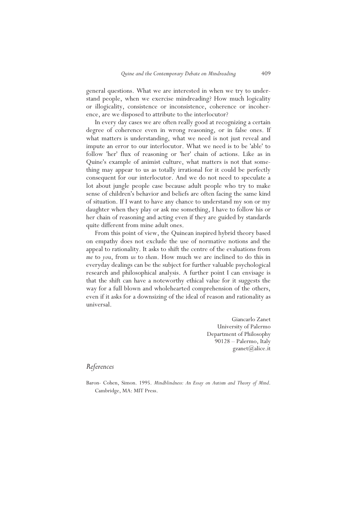general questions. What we are interested in when we try to understand people, when we exercise mindreading? How much logicality or illogicality, consistence or inconsistence, coherence or incoherence, are we disposed to attribute to the interlocutor?

In every day cases we are often really good at recognizing a certain degree of coherence even in wrong reasoning, or in false ones. If what matters is understanding, what we need is not just reveal and impute an error to our interlocutor. What we need is to be 'able' to follow 'her' flux of reasoning or 'her' chain of actions. Like as in Quine's example of animist culture, what matters is not that something may appear to us as totally irrational for it could be perfectly consequent for our interlocutor. And we do not need to speculate a lot about jungle people case because adult people who try to make sense of children's behavior and beliefs are often facing the same kind of situation. If I want to have any chance to understand my son or my daughter when they play or ask me something, I have to follow his or her chain of reasoning and acting even if they are guided by standards quite different from mine adult ones.

From this point of view, the Quinean inspired hybrid theory based on empathy does not exclude the use of normative notions and the appeal to rationality. It asks to shift the centre of the evaluations from *me* to *you*, from *us* to *them*. How much we are inclined to do this in everyday dealings can be the subject for further valuable psychological research and philosophical analysis. A further point I can envisage is that the shift can have a noteworthy ethical value for it suggests the way for a full blown and wholehearted comprehension of the others, even if it asks for a downsizing of the ideal of reason and rationality as universal.

> Giancarlo Zanet University of Palermo Department of Philosophy 90128 – Palermo, Italy  $\text{gzanet}(a)$ alice.it

# *References*

Baron- Cohen, Simon. 1995. *Mindblindness: An Essay on Autism and Theory of Mind*. Cambridge, MA: MIT Press.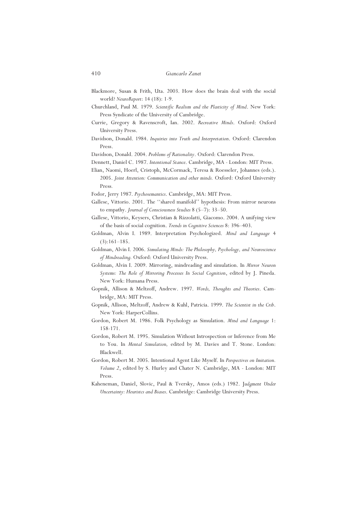- Blackmore, Susan & Frith, Uta. 2003. How does the brain deal with the social world? *NeuroReport*: 14 (18): 1-9.
- Churchland, Paul M. 1979. *Scientific Realism and the Plasticity of Mind*. New York: Press Syndicate of the University of Cambridge.
- Currie, Gregory & Ravenscroft, Ian. 2002. *Recreative Minds*. Oxford: Oxford University Press.
- Davidson, Donald. 1984. *Inquiries into Truth and Interpretation*. Oxford: Clarendon Press.

Davidson, Donald. 2004. *Problems of Rationality*. Oxford: Clarendon Press.

- Dennett, Daniel C. 1987. *Intentional Stance*. Cambridge, MA London: MIT Press.
- Elian, Naomi, Hoerl, Cristoph, McCormack, Teresa & Roesseler, Johannes (eds.). 2005. *Joint Attention: Communication and other minds.* Oxford: Oxford University Press*.*
- Fodor, Jerry 1987. *Psychosemantics*. Cambridge, MA: MIT Press.
- Gallese, Vittorio. 2001. The ''shared manifold'' hypothesis: From mirror neurons to empathy. *Journal of Consciousness Studies* 8 (5–7): 33–50.
- Gallese, Vittorio, Keysers, Christian & Rizzolatti, Giacomo. 2004. A unifying view of the basis of social cognition. *Trends in Cognitive Sciences* 8: 396–403.
- Goldman, Alvin I. 1989. Interpretation Psychologized. *Mind and Language* 4 (3):161–185.
- Goldman, Alvin I. 2006. *Simulating Minds: The Philosophy, Psychology, and Neuroscience of Mindreading.* Oxford: Oxford University Press.
- Goldman, Alvin I. 2009. Mirroring, mindreading and simulation. In *Mirror Neuron Systems: The Role of Mirroring Processes In Social Cognition*, edited by J. Pineda. New York: Humana Press.
- Gopnik, Allison & Meltzoff, Andrew. 1997. *Words, Thoughts and Theories*. Cambridge, MA: MIT Press.
- Gopnik, Allison, Meltzoff, Andrew & Kuhl, Patricia. 1999. *The Scientist in the Crib*. New York: HarperCollins.
- Gordon, Robert M. 1986. Folk Psychology as Simulation. *Mind and Language* 1: 158-171.
- Gordon, Robert M. 1995. Simulation Without Introspection or Inference from Me to You. In *Mental Simulation,* edited by M. Davies and T. Stone. London: Blackwell.
- Gordon, Robert M. 2005. Intentional Agent Like Myself. In *Perspectives on Imitation. Volume 2*, edited by S. Hurley and Chater N. Cambridge, MA - London: MIT Press.
- Kaheneman, Daniel, Slovic, Paul & Tversky, Amos (eds.) 1982. J*udgment Under Uncertainty: Heuristcs and Biases*. Cambridge: Cambridge University Press.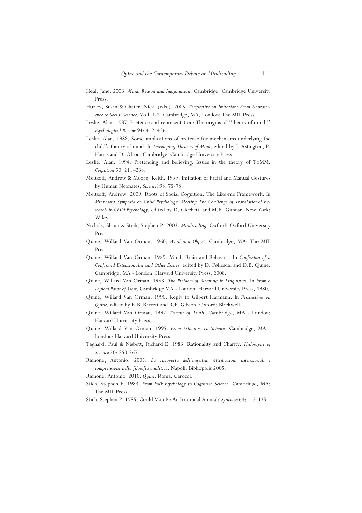- Heal, Jane. 2003. *Mind, Reason and Imagination*. Cambridge: Cambridge University Press.
- Hurley, Susan & Chater, Nick. (eds.). 2005. *Perspective on Imitation: From Neuroscience to Social Science*. Voll. 1-2. Cambridge, MA, London: The MIT Press.
- Leslie, Alan. 1987. Pretence and representation: The origins of ''theory of mind.'' *Psychological Review* 94: 412–426.
- Leslie, Alan. 1988. Some implications of pretense for mechanisms underlying the child's theory of mind. In *Developing Theories of Mind*, edited by J. Astington, P. Harris and D. Olson. Cambridge: Cambridge University Press.
- Leslie, Alan. 1994. Pretending and believing: Issues in the theory of ToMM. *Cognition* 50: 211–238.
- Meltzoff, Andrew & Moore, Keith. 1977. Imitation of Facial and Manual Gestures by Human Neonates, *Science*198: 75-78.
- Meltzoff, Andrew. 2009. Roots of Social Cognition: The Like-me Framework. In *Minnesota Symposia on Child Psychology. Meeting The Challenge of Translational Research in Child Psychology*, edited by D. Cicchetti and M.R. Gunnar. New York: Wiley
- Nichols, Shaun & Stich, Stephen P. 2003. *Mindreading.* Oxford: Oxford University Press.
- Quine, Willard Van Orman. 1960. *Word and Object*. Cambridge, MA: The MIT Press.
- Quine, Willard Van Orman. 1989. Mind, Brain and Behavior. In *Confession of a Confirmed Extensionalist and Other Essays*, edited by D. Føllesdal and D.B. Quine. Cambridge, MA - London: Harvard University Press, 2008.
- Quine, Willard Van Orman. 1953. *The Problem of Meaning in Linguistics*. In *From a Logical Point of View*. Cambridge MA - London: Harvard University Press, 1980.
- Quine, Willard Van Orman. 1990. Reply to Gilbert Harmann. In *Perspectives on Quine*, edited by R.B. Barrett and R.F. Gibson. Oxford: Blackwell.
- Quine, Willard Van Orman. 1992. *Pursuit of Truth*. Cambridge, MA London: Harvard University Press.
- Quine, Willard Van Orman. 1995. *From Stimulus To Science*. Cambridge, MA London: Harvard University Press.
- Taghard, Paul & Nisbett, Richard E. 1983. Rationality and Charity. *Philosophy of Science* 50: 250-267.
- Rainone, Antonio. 2005. *La riscoperta dell'empatia. Attribuzioni intenzionali e comprensione nella filosofia analitica*. Napoli: Bibliopolis 2005.
- Rainone, Antonio. 2010. *Quine*. Roma: Carocci.
- Stich, Stephen P. 1983. *From Folk Psychology to Cognitive Science*. Cambridge, MA: The MIT Press.
- Stich, Stephen P. 1985. Could Man Be An Irrational Animal? *Synthese* 64: 115-135.